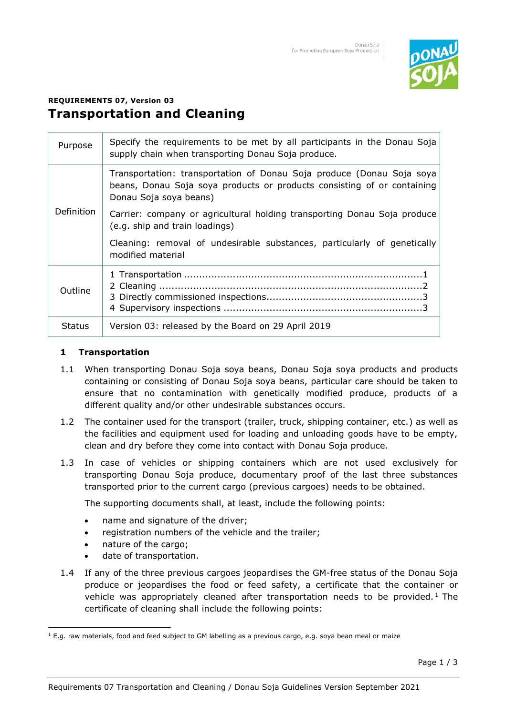

# **REQUIREMENTS 07, Version 03 Transportation and Cleaning**

| Purpose           | Specify the requirements to be met by all participants in the Donau Soja<br>supply chain when transporting Donau Soja produce.                                             |
|-------------------|----------------------------------------------------------------------------------------------------------------------------------------------------------------------------|
| <b>Definition</b> | Transportation: transportation of Donau Soja produce (Donau Soja soya<br>beans, Donau Soja soya products or products consisting of or containing<br>Donau Soja soya beans) |
|                   | Carrier: company or agricultural holding transporting Donau Soja produce<br>(e.g. ship and train loadings)                                                                 |
|                   | Cleaning: removal of undesirable substances, particularly of genetically<br>modified material                                                                              |
| Outline           |                                                                                                                                                                            |
| <b>Status</b>     | Version 03: released by the Board on 29 April 2019                                                                                                                         |

## **1 Transportation**

- 1.1 When transporting Donau Soja soya beans, Donau Soja soya products and products containing or consisting of Donau Soja soya beans, particular care should be taken to ensure that no contamination with genetically modified produce, products of a different quality and/or other undesirable substances occurs.
- 1.2 The container used for the transport (trailer, truck, shipping container, etc.) as well as the facilities and equipment used for loading and unloading goods have to be empty, clean and dry before they come into contact with Donau Soja produce.
- 1.3 In case of vehicles or shipping containers which are not used exclusively for transporting Donau Soja produce, documentary proof of the last three substances transported prior to the current cargo (previous cargoes) needs to be obtained.

The supporting documents shall, at least, include the following points:

- name and signature of the driver;
- registration numbers of the vehicle and the trailer;
- nature of the cargo;
- date of transportation.
- 1.4 If any of the three previous cargoes jeopardises the GM-free status of the Donau Soja produce or jeopardises the food or feed safety, a certificate that the container or vehicle was appropriately cleaned after transportation needs to be provided.<sup>1</sup> The certificate of cleaning shall include the following points:

<sup>1</sup> E.g. raw materials, food and feed subject to GM labelling as a previous cargo, e.g. soya bean meal or maize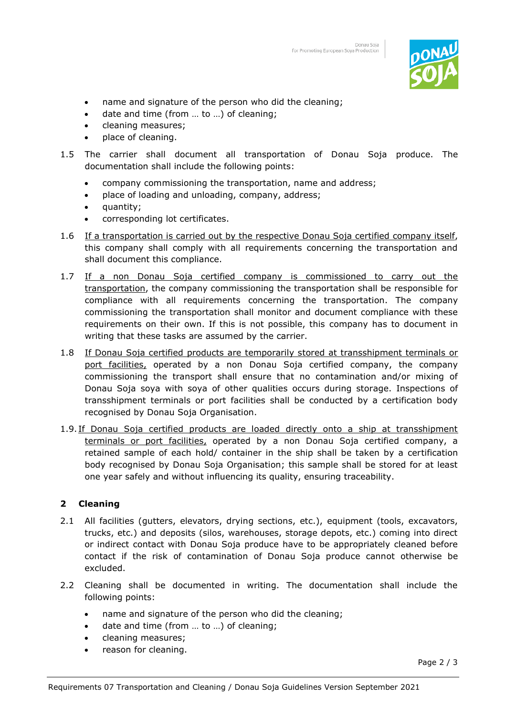

- name and signature of the person who did the cleaning;
- date and time (from ... to ...) of cleaning;
- cleaning measures;
- place of cleaning.
- 1.5 The carrier shall document all transportation of Donau Soja produce. The documentation shall include the following points:
	- company commissioning the transportation, name and address;
	- place of loading and unloading, company, address;
	- quantity;
	- corresponding lot certificates.
- 1.6 If a transportation is carried out by the respective Donau Soja certified company itself, this company shall comply with all requirements concerning the transportation and shall document this compliance.
- 1.7 If a non Donau Soja certified company is commissioned to carry out the transportation, the company commissioning the transportation shall be responsible for compliance with all requirements concerning the transportation. The company commissioning the transportation shall monitor and document compliance with these requirements on their own. If this is not possible, this company has to document in writing that these tasks are assumed by the carrier.
- 1.8 If Donau Soja certified products are temporarily stored at transshipment terminals or port facilities, operated by a non Donau Soja certified company, the company commissioning the transport shall ensure that no contamination and/or mixing of Donau Soja soya with soya of other qualities occurs during storage. Inspections of transshipment terminals or port facilities shall be conducted by a certification body recognised by Donau Soja Organisation.
- 1.9. If Donau Soja certified products are loaded directly onto a ship at transshipment terminals or port facilities, operated by a non Donau Soja certified company, a retained sample of each hold/ container in the ship shall be taken by a certification body recognised by Donau Soja Organisation; this sample shall be stored for at least one year safely and without influencing its quality, ensuring traceability.

## **2 Cleaning**

- 2.1 All facilities (gutters, elevators, drying sections, etc.), equipment (tools, excavators, trucks, etc.) and deposits (silos, warehouses, storage depots, etc.) coming into direct or indirect contact with Donau Soja produce have to be appropriately cleaned before contact if the risk of contamination of Donau Soja produce cannot otherwise be excluded.
- 2.2 Cleaning shall be documented in writing. The documentation shall include the following points:
	- name and signature of the person who did the cleaning;
	- date and time (from ... to ...) of cleaning;
	- cleaning measures;
	- reason for cleaning.